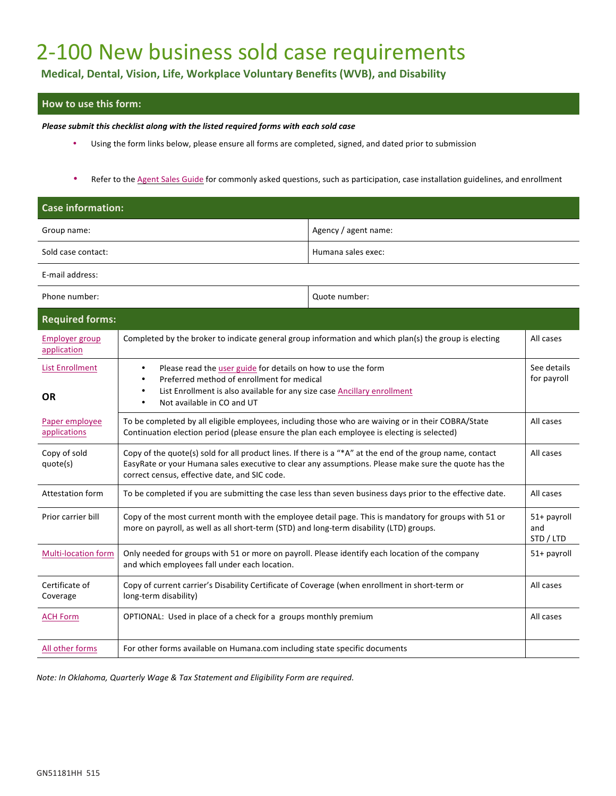## 2-100 New business sold case requirements

**Medical, Dental, Vision, Life, Workplace Voluntary Benefits (WVB), and Disability**

## **How to use this form:**

*Please submit this checklist along with the listed required forms with each sold case* 

- Using the form links below, please ensure all forms are completed, signed, and dated prior to submission
- Refer to the Agent Sales Guide for commonly asked questions, such as participation, case installation guidelines, and enrollment

| <b>Case information:</b>             |                                                                                                                                                                                                                                                                    |                      |                                 |
|--------------------------------------|--------------------------------------------------------------------------------------------------------------------------------------------------------------------------------------------------------------------------------------------------------------------|----------------------|---------------------------------|
| Group name:                          |                                                                                                                                                                                                                                                                    | Agency / agent name: |                                 |
| Sold case contact:                   |                                                                                                                                                                                                                                                                    | Humana sales exec:   |                                 |
| E-mail address:                      |                                                                                                                                                                                                                                                                    |                      |                                 |
| Phone number:                        |                                                                                                                                                                                                                                                                    | Quote number:        |                                 |
| <b>Required forms:</b>               |                                                                                                                                                                                                                                                                    |                      |                                 |
| <b>Employer group</b><br>application | Completed by the broker to indicate general group information and which plan(s) the group is electing                                                                                                                                                              |                      | All cases                       |
| <b>List Enrollment</b>               | Please read the user guide for details on how to use the form<br>$\bullet$<br>Preferred method of enrollment for medical                                                                                                                                           |                      | See details<br>for payroll      |
| <b>OR</b>                            | List Enrollment is also available for any size case Ancillary enrollment<br>$\bullet$<br>Not available in CO and UT<br>$\bullet$                                                                                                                                   |                      |                                 |
| Paper employee<br>applications       | To be completed by all eligible employees, including those who are waiving or in their COBRA/State<br>Continuation election period (please ensure the plan each employee is electing is selected)                                                                  |                      | All cases                       |
| Copy of sold<br>quote(s)             | Copy of the quote(s) sold for all product lines. If there is a "*A" at the end of the group name, contact<br>EasyRate or your Humana sales executive to clear any assumptions. Please make sure the quote has the<br>correct census, effective date, and SIC code. |                      | All cases                       |
| Attestation form                     | To be completed if you are submitting the case less than seven business days prior to the effective date.                                                                                                                                                          |                      | All cases                       |
| Prior carrier bill                   | Copy of the most current month with the employee detail page. This is mandatory for groups with 51 or<br>more on payroll, as well as all short-term (STD) and long-term disability (LTD) groups.                                                                   |                      | 51+ payroll<br>and<br>STD / LTD |
| <b>Multi-location form</b>           | Only needed for groups with 51 or more on payroll. Please identify each location of the company<br>and which employees fall under each location.                                                                                                                   |                      | 51+ payroll                     |
| Certificate of<br>Coverage           | Copy of current carrier's Disability Certificate of Coverage (when enrollment in short-term or<br>long-term disability)                                                                                                                                            |                      | All cases                       |
| <b>ACH Form</b>                      | OPTIONAL: Used in place of a check for a groups monthly premium                                                                                                                                                                                                    |                      | All cases                       |
| All other forms                      | For other forms available on Humana.com including state specific documents                                                                                                                                                                                         |                      |                                 |
|                                      |                                                                                                                                                                                                                                                                    |                      |                                 |

*Note: In Oklahoma, Quarterly Wage & Tax Statement and Eligibility Form are required.*